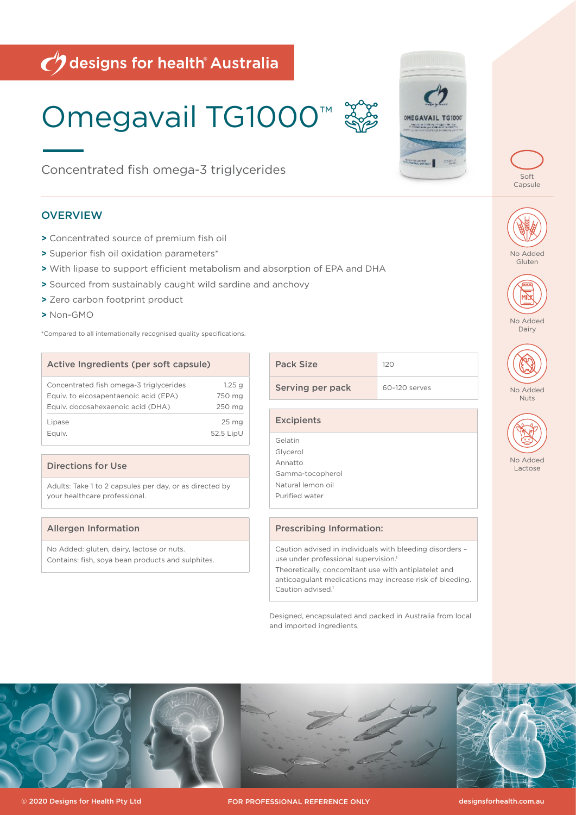# $\bigcirc$  designs for health Australia

# Omegavail TG1000™

Concentrated fish omega-3 triglycerides

# **OVERVIEW**

- **>** Concentrated source of premium fish oil
- **>** Superior fish oil oxidation parameters\*
- **>** With lipase to support efficient metabolism and absorption of EPA and DHA
- **>** Sourced from sustainably caught wild sardine and anchovy
- **>** Zero carbon footprint product
- **>** Non-GMO

\*Compared to all internationally recognised quality specifications.

# Active Ingredients (per soft capsule) Concentrated fish omega-3 triglycerides 1.25 g Equiv. to eicosapentaenoic acid (EPA) 750 mg Equiv. docosahexaenoic acid (DHA) 250 mg Lipase 25 mg Equiv. 52.5 LipU

### Directions for Use

Adults: Take 1 to 2 capsules per day, or as directed by your healthcare professional.

### Allergen Information

No Added: gluten, dairy, lactose or nuts. Contains: fish, soya bean products and sulphites.

| <b>Pack Size</b> | 120           |  |  |
|------------------|---------------|--|--|
| Serving per pack | 60-120 serves |  |  |
|                  |               |  |  |

**Excipients** Gelatin Glycerol Annatto Gamma-tocopherol Natural lemon oil Purified water

# Prescribing Information:

Caution advised in individuals with bleeding disorders – use under professional supervision.

Theoretically, concomitant use with antiplatelet and anticoagulant medications may increase risk of bleeding. Caution advised.<sup>1</sup>

Designed, encapsulated and packed in Australia from local and imported ingredients.











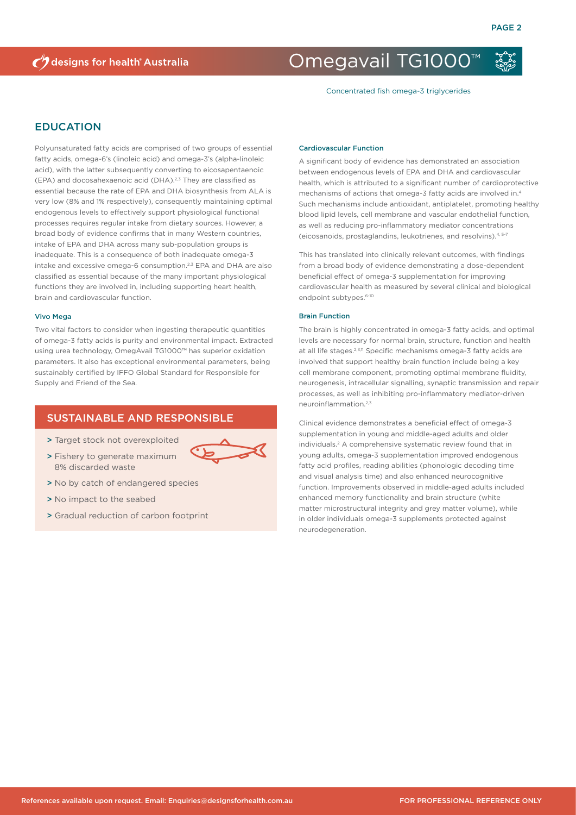# Omegavail TG1000™

Concentrated fish omega-3 triglycerides

### EDUCATION

Polyunsaturated fatty acids are comprised of two groups of essential fatty acids, omega-6's (linoleic acid) and omega-3's (alpha-linoleic acid), with the latter subsequently converting to eicosapentaenoic (EPA) and docosahexaenoic acid (DHA).2,3 They are classified as essential because the rate of EPA and DHA biosynthesis from ALA is very low (8% and 1% respectively), consequently maintaining optimal endogenous levels to effectively support physiological functional processes requires regular intake from dietary sources. However, a broad body of evidence confirms that in many Western countries, intake of EPA and DHA across many sub-population groups is inadequate. This is a consequence of both inadequate omega-3 intake and excessive omega-6 consumption.2,3 EPA and DHA are also classified as essential because of the many important physiological functions they are involved in, including supporting heart health, brain and cardiovascular function.

#### Vivo Mega

Two vital factors to consider when ingesting therapeutic quantities of omega-3 fatty acids is purity and environmental impact. Extracted using urea technology, OmegAvail TG1000™ has superior oxidation parameters. It also has exceptional environmental parameters, being sustainably certified by IFFO Global Standard for Responsible for Supply and Friend of the Sea.

# SUSTAINABLE AND RESPONSIBLE

- > Target stock not overexploited
- > Fishery to generate maximum 8% discarded waste
- > No by catch of endangered species
- > No impact to the seabed
- > Gradual reduction of carbon footprint

#### Cardiovascular Function

A significant body of evidence has demonstrated an association between endogenous levels of EPA and DHA and cardiovascular health, which is attributed to a significant number of cardioprotective mechanisms of actions that omega-3 fatty acids are involved in.4 Such mechanisms include antioxidant, antiplatelet, promoting healthy blood lipid levels, cell membrane and vascular endothelial function, as well as reducing pro-inflammatory mediator concentrations (eicosanoids, prostaglandins, leukotrienes, and resolvins).4, 5-7

This has translated into clinically relevant outcomes, with findings from a broad body of evidence demonstrating a dose-dependent beneficial effect of omega-3 supplementation for improving cardiovascular health as measured by several clinical and biological endpoint subtypes.<sup>6-10</sup>

#### Brain Function

The brain is highly concentrated in omega-3 fatty acids, and optimal levels are necessary for normal brain, structure, function and health at all life stages.<sup>2,3,11</sup> Specific mechanisms omega-3 fatty acids are involved that support healthy brain function include being a key cell membrane component, promoting optimal membrane fluidity, neurogenesis, intracellular signalling, synaptic transmission and repair processes, as well as inhibiting pro-inflammatory mediator-driven neuroinflammation.2,3

Clinical evidence demonstrates a beneficial effect of omega-3 supplementation in young and middle-aged adults and older individuals.2 A comprehensive systematic review found that in young adults, omega-3 supplementation improved endogenous fatty acid profiles, reading abilities (phonologic decoding time and visual analysis time) and also enhanced neurocognitive function. Improvements observed in middle-aged adults included enhanced memory functionality and brain structure (white matter microstructural integrity and grey matter volume), while in older individuals omega-3 supplements protected against neurodegeneration.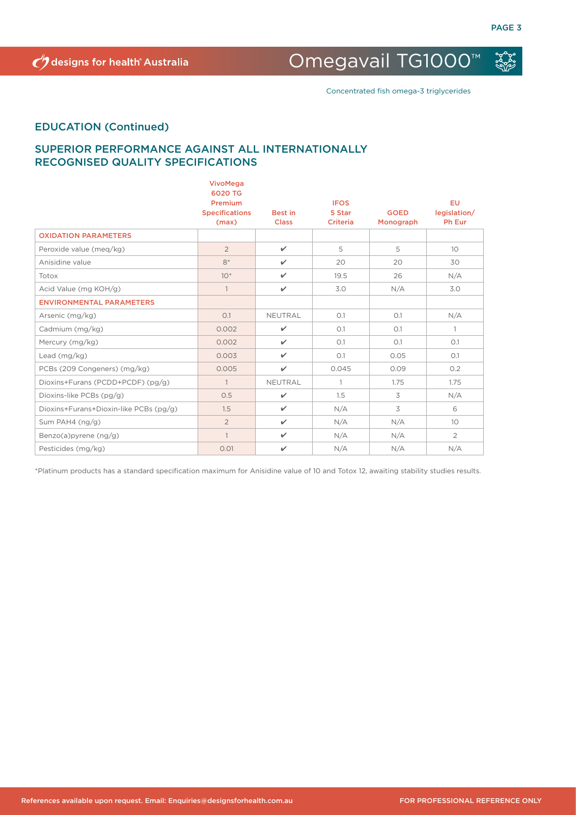Omegavail TG1000™

Concentrated fish omega-3 triglycerides

# EDUCATION (Continued)

# SUPERIOR PERFORMANCE AGAINST ALL INTERNATIONALLY RECOGNISED QUALITY SPECIFICATIONS

|                                        | VivoMega<br>6020 TG<br>Premium<br><b>Specifications</b><br>(max) | <b>Best in</b><br><b>Class</b> | <b>IFOS</b><br>5 Star<br><b>Criteria</b> | <b>GOED</b><br>Monograph | <b>EU</b><br>legislation/<br>Ph Eur |
|----------------------------------------|------------------------------------------------------------------|--------------------------------|------------------------------------------|--------------------------|-------------------------------------|
| <b>OXIDATION PARAMETERS</b>            |                                                                  |                                |                                          |                          |                                     |
| Peroxide value (meg/kg)                | $\overline{2}$                                                   | $\checkmark$                   | 5                                        | 5                        | 10 <sup>°</sup>                     |
| Anisidine value                        | $8*$                                                             | $\checkmark$                   | 20                                       | 20                       | 30                                  |
| Totox                                  | $10*$                                                            | $\checkmark$                   | 19.5                                     | 26                       | N/A                                 |
| Acid Value (mg KOH/g)                  | $\mathbf{1}$                                                     | $\checkmark$                   | 3.0                                      | N/A                      | 3.0                                 |
| <b>ENVIRONMENTAL PARAMETERS</b>        |                                                                  |                                |                                          |                          |                                     |
| Arsenic (mg/kg)                        | O.1                                                              | NEUTRAL                        | O.1                                      | O.1                      | N/A                                 |
| Cadmium (mg/kg)                        | 0.002                                                            | $\checkmark$                   | O.1                                      | O.1                      | $\mathbf{1}$                        |
| Mercury (mg/kg)                        | 0.002                                                            | $\checkmark$                   | O.1                                      | O.1                      | O.1                                 |
| Lead $(mq/kg)$                         | 0.003                                                            | $\checkmark$                   | O.1                                      | 0.05                     | O.1                                 |
| PCBs (209 Congeners) (mg/kg)           | 0.005                                                            | $\checkmark$                   | 0.045                                    | 0.09                     | 0.2                                 |
| Dioxins+Furans (PCDD+PCDF) (pg/g)      | $\mathbf{1}$                                                     | NEUTRAL                        | $\mathbf{1}$                             | 1.75                     | 1.75                                |
| Dioxins-like PCBs (pg/g)               | 0.5                                                              | $\checkmark$                   | 1.5                                      | 3                        | N/A                                 |
| Dioxins+Furans+Dioxin-like PCBs (pg/g) | 1.5                                                              | $\checkmark$                   | N/A                                      | 3                        | 6                                   |
| Sum PAH4 $(ng/q)$                      | $\overline{2}$                                                   | $\checkmark$                   | N/A                                      | N/A                      | 10                                  |
| Benzo(a)pyrene (ng/g)                  | $\mathbf{1}$                                                     | $\checkmark$                   | N/A                                      | N/A                      | $\overline{2}$                      |
| Pesticides (mg/kg)                     | 0.01                                                             | ✓                              | N/A                                      | N/A                      | N/A                                 |

\*Platinum products has a standard specification maximum for Anisidine value of 10 and Totox 12, awaiting stability studies results.